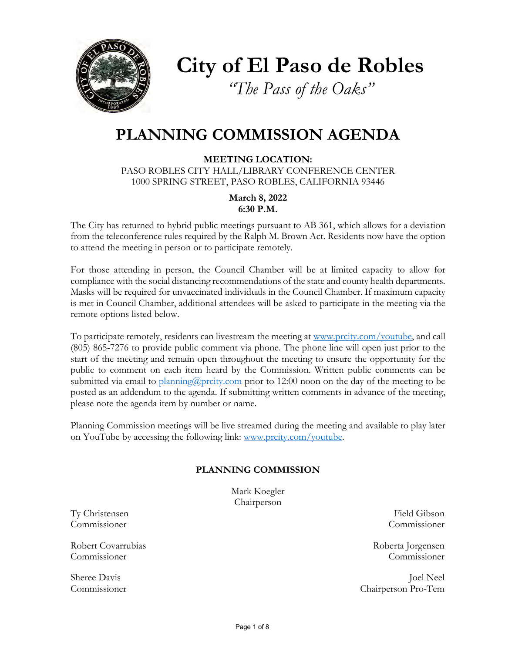

**City of El Paso de Robles**

*"The Pass of the Oaks"*

# **PLANNING COMMISSION AGENDA**

**MEETING LOCATION:** PASO ROBLES CITY HALL/LIBRARY CONFERENCE CENTER 1000 SPRING STREET, PASO ROBLES, CALIFORNIA 93446

> **March 8, 2022 6:30 P.M.**

The City has returned to hybrid public meetings pursuant to AB 361, which allows for a deviation from the teleconference rules required by the Ralph M. Brown Act. Residents now have the option to attend the meeting in person or to participate remotely.

For those attending in person, the Council Chamber will be at limited capacity to allow for compliance with the social distancing recommendations of the state and county health departments. Masks will be required for unvaccinated individuals in the Council Chamber. If maximum capacity is met in Council Chamber, additional attendees will be asked to participate in the meeting via the remote options listed below.

To participate remotely, residents can livestream the meeting at [www.prcity.com/youtube,](http://www.prcity.com/youtube) and call (805) 865-7276 to provide public comment via phone. The phone line will open just prior to the start of the meeting and remain open throughout the meeting to ensure the opportunity for the public to comment on each item heard by the Commission. Written public comments can be submitted via email to  $\frac{\text{planning}(\partial \text{priority.com}}{\text{prior to 12:00}}$  noon on the day of the meeting to be posted as an addendum to the agenda. If submitting written comments in advance of the meeting, please note the agenda item by number or name.

Planning Commission meetings will be live streamed during the meeting and available to play later on YouTube by accessing the following link: [www.prcity.com/youtube.](http://www.prcity.com/youtube)

### **PLANNING COMMISSION**

Mark Koegler Chairperson

Ty Christensen Field Gibson Commissioner Commissioner

Robert Covarrubias Roberta Jorgensen Commissioner Commissioner

Sheree Davis Joel Neel Commissioner Chairperson Pro-Tem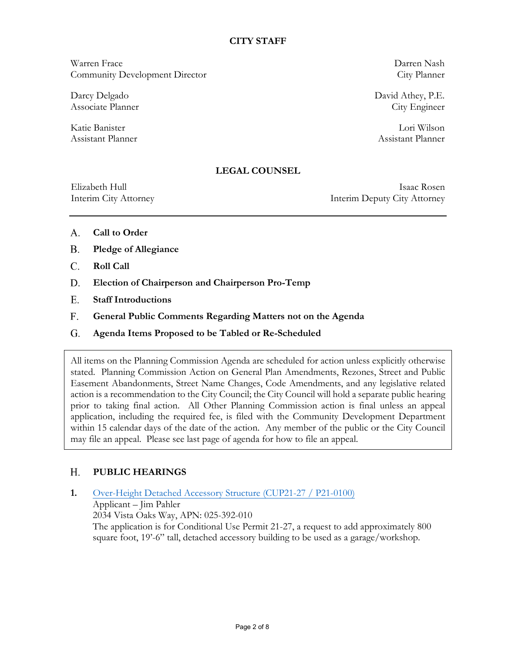### **CITY STAFF**

Warren Frace Darren Nash Community Development Director City Planner

Katie Banister Lori Wilson Assistant Planner Assistant Planner

Darcy Delgado David Athey, P.E. Associate Planner City Engineer

### **LEGAL COUNSEL**

Elizabeth Hull Isaac Rosen Interim City Attorney Interim Deputy City Attorney

- **Call to Order** A.
- **Pledge of Allegiance B.**
- **Roll Call**  C.
- **Election of Chairperson and Chairperson Pro-Temp D.**
- **Staff Introductions** E.
- **General Public Comments Regarding Matters not on the Agenda F.**
- **Agenda Items Proposed to be Tabled or Re-Scheduled G.**

All items on the Planning Commission Agenda are scheduled for action unless explicitly otherwise stated. Planning Commission Action on General Plan Amendments, Rezones, Street and Public Easement Abandonments, Street Name Changes, Code Amendments, and any legislative related action is a recommendation to the City Council; the City Council will hold a separate public hearing prior to taking final action. All Other Planning Commission action is final unless an appeal application, including the required fee, is filed with the Community Development Department within 15 calendar days of the date of the action. Any member of the public or the City Council may file an appeal. Please see last page of agenda for how to file an appeal.

#### **PUBLIC HEARINGS H.**

# **1.** Over-Height Detached Accessory Structure [\(CUP21-27 / P21-0100\)](https://www.prcity.com/DocumentCenter/View/33285/March-8-2022-Planning-Commission-Item-1-PDF) Applicant – Jim Pahler 2034 Vista Oaks Way, APN: 025-392-010 The application is for Conditional Use Permit 21-27, a request to add approximately 800 square foot, 19'-6" tall, detached accessory building to be used as a garage/workshop.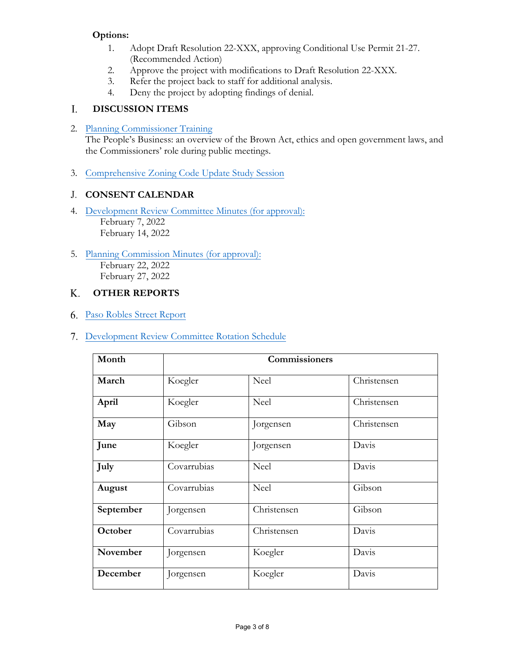# **Options:**

- 1. Adopt Draft Resolution 22-XXX, approving Conditional Use Permit 21-27. (Recommended Action)
- 2. Approve the project with modifications to Draft Resolution 22-XXX.
- 3. Refer the project back to staff for additional analysis.
- 4. Deny the project by adopting findings of denial.

#### **DISCUSSION ITEMS** I.

2. [Planning Commissioner Training](https://www.prcity.com/DocumentCenter/View/33286/March-8-2022-Planning-Commission-Item-2-PDF)

The People's Business: an overview of the Brown Act, ethics and open government laws, and the Commissioners' role during public meetings.

3. [Comprehensive Zoning Code Update Study Session](https://www.prcity.com/DocumentCenter/View/33287/March-8-2022-Planning-Commission-Item-3-PDF)

# **CONSENT CALENDAR** J.

- 4. Development Review [Committee Minutes \(for approval\):](https://www.prcity.com/DocumentCenter/View/33288/March-8-2022-Planning-Commission-Item-4-PDF) February 7, 2022 February 14, 2022
- 5. [Planning Commission Minutes \(for approval\):](https://www.prcity.com/DocumentCenter/View/33289/March-8-2022-Planning-Commission-Item-5-PDF) February 22, 2022 February 27, 2022

#### **OTHER REPORTS** K.

- 6. [Paso Robles Street](https://www.prcity.com/DocumentCenter/View/33290/March-8-2022-Planning-Commission-Item-6-PDF) Report
- 7. [Development Review](https://www.prcity.com/DocumentCenter/View/33291/March-8-2022-Planning-Commission-Item-7-PDF) Committee Rotation Schedule

| Month     | Commissioners |             |             |
|-----------|---------------|-------------|-------------|
| March     | Koegler       | Neel        | Christensen |
| April     | Koegler       | Neel        | Christensen |
| May       | Gibson        | Jorgensen   | Christensen |
| June      | Koegler       | Jorgensen   | Davis       |
| July      | Covarrubias   | Neel        | Davis       |
| August    | Covarrubias   | Neel        | Gibson      |
| September | Jorgensen     | Christensen | Gibson      |
| October   | Covarrubias   | Christensen | Davis       |
| November  | Jorgensen     | Koegler     | Davis       |
| December  | Jorgensen     | Koegler     | Davis       |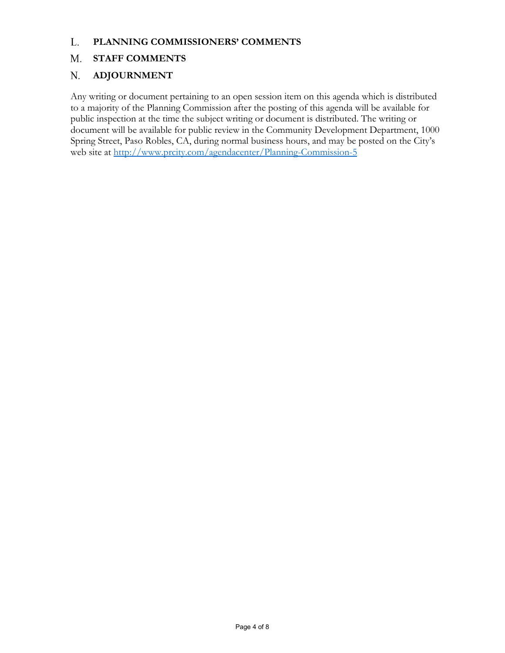#### **PLANNING COMMISSIONERS' COMMENTS** L.

#### **STAFF COMMENTS M.**

#### **ADJOURNMENT N.**

Any writing or document pertaining to an open session item on this agenda which is distributed to a majority of the Planning Commission after the posting of this agenda will be available for public inspection at the time the subject writing or document is distributed. The writing or document will be available for public review in the Community Development Department, 1000 Spring Street, Paso Robles, CA, during normal business hours, and may be posted on the City's web site at <http://www.prcity.com/agendacenter/Planning-Commission-5>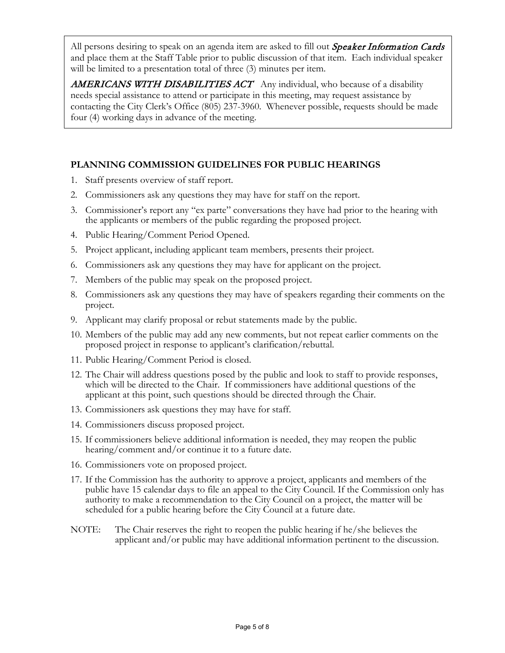All persons desiring to speak on an agenda item are asked to fill out *Speaker Information Cards* and place them at the Staff Table prior to public discussion of that item. Each individual speaker will be limited to a presentation total of three  $(3)$  minutes per item.

AMERICANS WITH DISABILITIES ACT Any individual, who because of a disability needs special assistance to attend or participate in this meeting, may request assistance by contacting the City Clerk's Office (805) 237-3960. Whenever possible, requests should be made four (4) working days in advance of the meeting.

# **PLANNING COMMISSION GUIDELINES FOR PUBLIC HEARINGS**

- 1. Staff presents overview of staff report.
- 2. Commissioners ask any questions they may have for staff on the report.
- 3. Commissioner's report any "ex parte" conversations they have had prior to the hearing with the applicants or members of the public regarding the proposed project.
- 4. Public Hearing/Comment Period Opened.
- 5. Project applicant, including applicant team members, presents their project.
- 6. Commissioners ask any questions they may have for applicant on the project.
- 7. Members of the public may speak on the proposed project.
- 8. Commissioners ask any questions they may have of speakers regarding their comments on the project.
- 9. Applicant may clarify proposal or rebut statements made by the public.
- 10. Members of the public may add any new comments, but not repeat earlier comments on the proposed project in response to applicant's clarification/rebuttal.
- 11. Public Hearing/Comment Period is closed.
- 12. The Chair will address questions posed by the public and look to staff to provide responses, which will be directed to the Chair. If commissioners have additional questions of the applicant at this point, such questions should be directed through the Chair.
- 13. Commissioners ask questions they may have for staff.
- 14. Commissioners discuss proposed project.
- 15. If commissioners believe additional information is needed, they may reopen the public hearing/comment and/or continue it to a future date.
- 16. Commissioners vote on proposed project.
- 17. If the Commission has the authority to approve a project, applicants and members of the public have 15 calendar days to file an appeal to the City Council. If the Commission only has authority to make a recommendation to the City Council on a project, the matter will be scheduled for a public hearing before the City Council at a future date.
- NOTE: The Chair reserves the right to reopen the public hearing if he/she believes the applicant and/or public may have additional information pertinent to the discussion.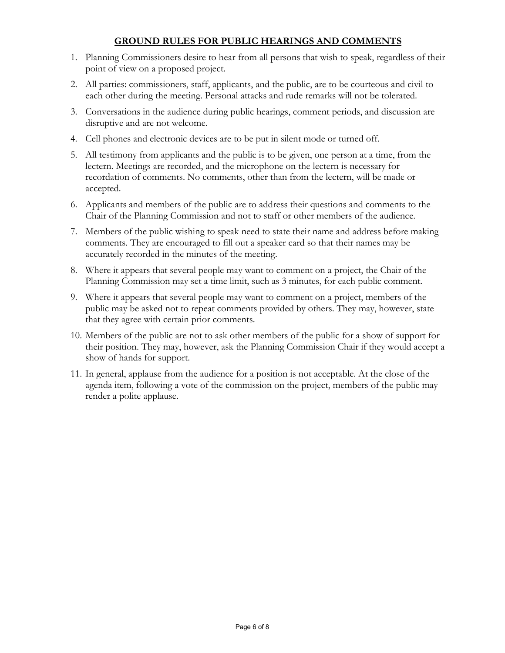## **GROUND RULES FOR PUBLIC HEARINGS AND COMMENTS**

- 1. Planning Commissioners desire to hear from all persons that wish to speak, regardless of their point of view on a proposed project.
- 2. All parties: commissioners, staff, applicants, and the public, are to be courteous and civil to each other during the meeting. Personal attacks and rude remarks will not be tolerated.
- 3. Conversations in the audience during public hearings, comment periods, and discussion are disruptive and are not welcome.
- 4. Cell phones and electronic devices are to be put in silent mode or turned off.
- 5. All testimony from applicants and the public is to be given, one person at a time, from the lectern. Meetings are recorded, and the microphone on the lectern is necessary for recordation of comments. No comments, other than from the lectern, will be made or accepted.
- 6. Applicants and members of the public are to address their questions and comments to the Chair of the Planning Commission and not to staff or other members of the audience.
- 7. Members of the public wishing to speak need to state their name and address before making comments. They are encouraged to fill out a speaker card so that their names may be accurately recorded in the minutes of the meeting.
- 8. Where it appears that several people may want to comment on a project, the Chair of the Planning Commission may set a time limit, such as 3 minutes, for each public comment.
- 9. Where it appears that several people may want to comment on a project, members of the public may be asked not to repeat comments provided by others. They may, however, state that they agree with certain prior comments.
- 10. Members of the public are not to ask other members of the public for a show of support for their position. They may, however, ask the Planning Commission Chair if they would accept a show of hands for support.
- 11. In general, applause from the audience for a position is not acceptable. At the close of the agenda item, following a vote of the commission on the project, members of the public may render a polite applause.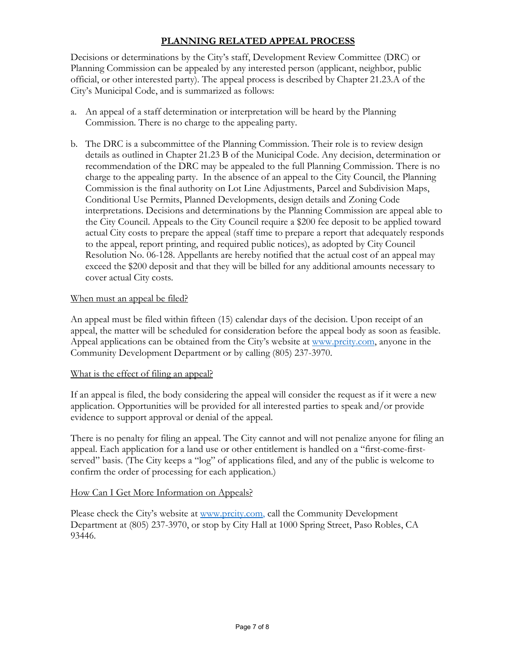# **PLANNING RELATED APPEAL PROCESS**

Decisions or determinations by the City's staff, Development Review Committee (DRC) or Planning Commission can be appealed by any interested person (applicant, neighbor, public official, or other interested party). The appeal process is described by Chapter 21.23.A of the City's Municipal Code, and is summarized as follows:

- a. An appeal of a staff determination or interpretation will be heard by the Planning Commission. There is no charge to the appealing party.
- b. The DRC is a subcommittee of the Planning Commission. Their role is to review design details as outlined in Chapter 21.23 B of the Municipal Code. Any decision, determination or recommendation of the DRC may be appealed to the full Planning Commission. There is no charge to the appealing party. In the absence of an appeal to the City Council, the Planning Commission is the final authority on Lot Line Adjustments, Parcel and Subdivision Maps, Conditional Use Permits, Planned Developments, design details and Zoning Code interpretations. Decisions and determinations by the Planning Commission are appeal able to the City Council. Appeals to the City Council require a \$200 fee deposit to be applied toward actual City costs to prepare the appeal (staff time to prepare a report that adequately responds to the appeal, report printing, and required public notices), as adopted by City Council Resolution No. 06-128. Appellants are hereby notified that the actual cost of an appeal may exceed the \$200 deposit and that they will be billed for any additional amounts necessary to cover actual City costs.

### When must an appeal be filed?

An appeal must be filed within fifteen (15) calendar days of the decision. Upon receipt of an appeal, the matter will be scheduled for consideration before the appeal body as soon as feasible. Appeal applications can be obtained from the City's website at [www.prcity.com,](http://www.prcity.com/) anyone in the Community Development Department or by calling (805) 237-3970.

### What is the effect of filing an appeal?

If an appeal is filed, the body considering the appeal will consider the request as if it were a new application. Opportunities will be provided for all interested parties to speak and/or provide evidence to support approval or denial of the appeal.

There is no penalty for filing an appeal. The City cannot and will not penalize anyone for filing an appeal. Each application for a land use or other entitlement is handled on a "first-come-firstserved" basis. (The City keeps a "log" of applications filed, and any of the public is welcome to confirm the order of processing for each application.)

### How Can I Get More Information on Appeals?

Please check the City's website at [www.prcity.com,](http://www.prcity.com/) call the Community Development Department at (805) 237-3970, or stop by City Hall at 1000 Spring Street, Paso Robles, CA 93446.